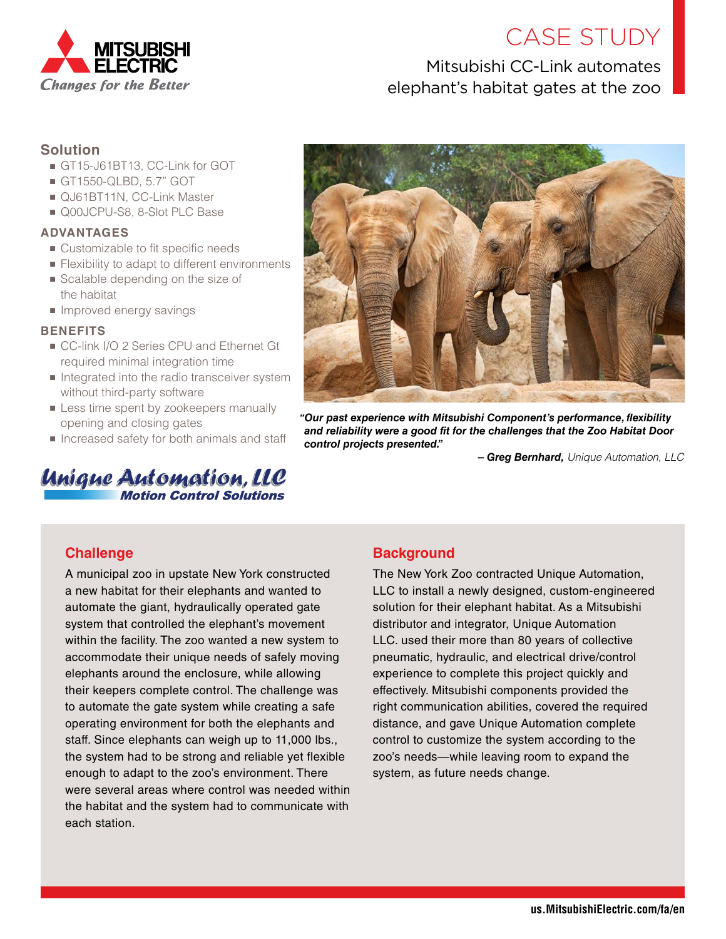

# CASE STUDY

## Mitsubishi CC-Link automates elephant's habitat gates at the zoo

## **Solution**

- GT15-J61BT13, CC-Link for GOT
- GT1550-QLBD, 5.7" GOT
- QJ61BT11N, CC-Link Master
- Q00JCPU-S8, 8-Slot PLC Base

#### **ADVANTAGES**

- Customizable to fit specific needs
- Flexibility to adapt to different environments
- Scalable depending on the size of the habitat
- Improved energy savings

#### **BENEFITS**

- CC-link I/O 2 Series CPU and Ethernet Gt required minimal integration time
- Integrated into the radio transceiver system without third-party software
- **Example 1** Less time spent by zookeepers manually opening and closing gates
- Increased safety for both animals and staff

## Unigue Automation, LLC **Motion Control Solutions**



*"Our past experience with Mitsubishi Component's performance, flexibility and reliability were a good fit for the challenges that the Zoo Habitat Door control projects presented."*

*– Greg Bernhard, Unique Automation, LLC*

## **Challenge**

A municipal zoo in upstate New York constructed a new habitat for their elephants and wanted to automate the giant, hydraulically operated gate system that controlled the elephant's movement within the facility. The zoo wanted a new system to accommodate their unique needs of safely moving elephants around the enclosure, while allowing their keepers complete control. The challenge was to automate the gate system while creating a safe operating environment for both the elephants and staff. Since elephants can weigh up to 11,000 lbs., the system had to be strong and reliable yet flexible enough to adapt to the zoo's environment. There were several areas where control was needed within the habitat and the system had to communicate with each station.

## **Background**

The New York Zoo contracted Unique Automation, LLC to install a newly designed, custom-engineered solution for their elephant habitat. As a Mitsubishi distributor and integrator, Unique Automation LLC. used their more than 80 years of collective pneumatic, hydraulic, and electrical drive/control experience to complete this project quickly and effectively. Mitsubishi components provided the right communication abilities, covered the required distance, and gave Unique Automation complete control to customize the system according to the zoo's needs—while leaving room to expand the system, as future needs change.